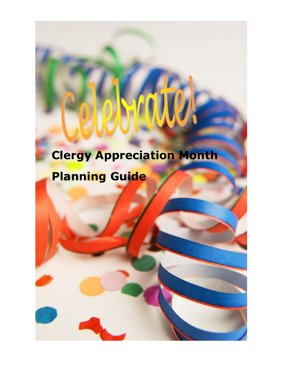# **Clergy Appreciation Month Planning Guide**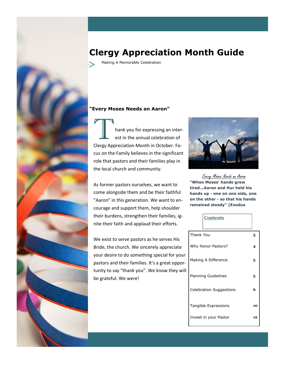

# **Clergy Appreciation Month Guide**

Making A Memorable Celebration

### **"Every Moses Needs an Aaron"**

hank you for expressing an interest in the annual celebration of Clergy Appreciation Month in October. Focus on the Family believes in the significant role that pastors and their families play in the local church and community.

As former pastors ourselves, we want to come alongside them and be their faithful "Aaron" in this generation. We want to encourage and support them, help shoulder their burdens, strengthen their families, ignite their faith and applaud their efforts.

We exist to serve pastors as he serves His Bride, the church. We sincerely appreciate your desire to do something special for your pastors and their families. It's a great opportunity to say "thank you". We know they will be grateful. We were!



Every Moses Needs an Aaron **"When Moses' hands grew tired...Aaron and Hur held his hands up - one on one side, one on the other - so that his hands remained steady" (Exodus** 

|--|

| Thank You                      | 3  |
|--------------------------------|----|
| Why Honor Pastors?             | 4  |
| Making A Difference            | 5  |
| <b>Planning Guidelines</b>     | 5  |
| <b>Celebration Suggestions</b> | 6  |
| Tangible Expressions           | 10 |
| Invest in your Pastor          | 12 |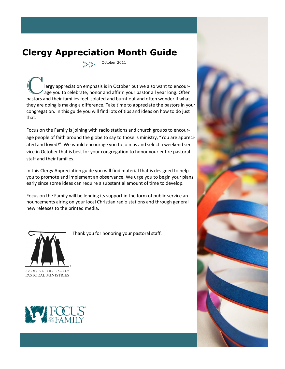# **Clergy Appreciation Month Guide**

October 2011

The extended the preciation emphasis is in October but we also want to encour-<br>age you to celebrate, honor and affirm your pastor all year long. Often<br>pasters and their families feel isolated and burnt out and often wonder pastors and their families feel isolated and burnt out and often wonder if what they are doing is making a difference. Take time to appreciate the pastors in your congregation. In this guide you will find lots of tips and ideas on how to do just that.

Focus on the Family is joining with radio stations and church groups to encourage people of faith around the globe to say to those is ministry, "You are appreciated and loved!" We would encourage you to join us and select a weekend service in October that is best for your congregation to honor your entire pastoral staff and their families.

In this Clergy Appreciation guide you will find material that is designed to help you to promote and implement an observance. We urge you to begin your plans early since some ideas can require a substantial amount of time to develop.

Focus on the Family will be lending its support in the form of public service announcements airing on your local Christian radio stations and through general new releases to the printed media.



Thank you for honoring your pastoral staff.



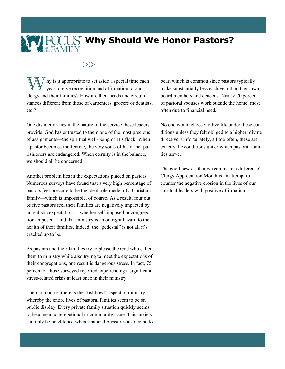## **Why Should We Honor Pastors?EXEMITY**

### 

hy is it appropriate to set aside a special time each year to give recognition and affirmation to our clergy and their families? How are their needs and circumstances different from those of carpenters, grocers or dentists, etc.?

One distinction lies in the nature of the service these leaders provide. God has entrusted to them one of the most precious of assignments—the spiritual well-being of His flock. When a pastor becomes ineffective, the very souls of his or her parishioners are endangered. When eternity is in the balance, we should all be concerned.

Another problem lies in the expectations placed on pastors. Numerous surveys have found that a very high percentage of pastors feel pressure to be the ideal role model of a Christian family—which is impossible, of course. As a result, four out of five pastors feel their families are negatively impacted by unrealistic expectations—whether self-imposed or congregation-imposed—and that ministry is an outright hazard to the health of their families. Indeed, the "pedestal" is not all it's cracked up to be.

As pastors and their families try to please the God who called them to ministry while also trying to meet the expectations of their congregations, one result is dangerous stress. In fact, 75 percent of those surveyed reported experiencing a significant stress-related crisis at least once in their ministry.

Then, of course, there is the "fishbowl" aspect of ministry, whereby the entire lives of pastoral families seem to be on public display. Every private family situation quickly seems to become a congregational or community issue. This anxiety can only be heightened when financial pressures also come to

bear, which is common since pastors typically make substantially less each year than their own board members and deacons. Nearly 70 percent of pastoral spouses work outside the home, most often due to financial need.

No one would choose to live life under these conditions unless they felt obliged to a higher, divine directive. Unfortunately, all too often, these are exactly the conditions under which pastoral families serve.

The good news is that we can make a difference! Clergy Appreciation Month is an attempt to counter the negative erosion in the lives of our spiritual leaders with positive affirmation.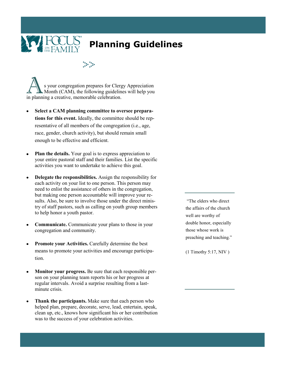

# **Planning Guidelines**

s your congregation prepares for Clergy Appreciation Month (CAM), the following guidelines will help you in planning a creative, memorable celebration.

- **Select a CAM planning committee to oversee preparations for this event.** Ideally, the committee should be representative of all members of the congregation (i.e., age, race, gender, church activity), but should remain small enough to be effective and efficient.
- **Plan the details.** Your goal is to express appreciation to your entire pastoral staff and their families. List the specific activities you want to undertake to achieve this goal.
- **Delegate the responsibilities.** Assign the responsibility for  $\bullet$ each activity on your list to one person. This person may need to enlist the assistance of others in the congregation, but making one person accountable will improve your results. Also, be sure to involve those under the direct ministry of staff pastors, such as calling on youth group members to help honor a youth pastor.
- **Communicate.** Communicate your plans to those in your  $\bullet$ congregation and community.
- **Promote your Activities.** Carefully determine the best means to promote your activities and encourage participation.
- **Monitor your progress.** Be sure that each responsible person on your planning team reports his or her progress at regular intervals. Avoid a surprise resulting from a lastminute crisis.
- **Thank the participants.** Make sure that each person who helped plan, prepare, decorate, serve, lead, entertain, speak, clean up, etc., knows how significant his or her contribution was to the success of your celebration activities.

"The elders who direct the affairs of the church well are worthy of double honor, especially those whose work is preaching and teaching."

(1 Timothy 5:17, NIV )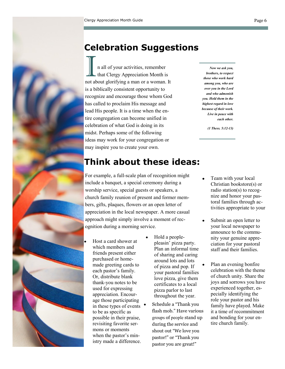# **Celebration Suggestions**

I all of your activities, remember<br>that Clergy Appreciation Month is<br>not about glorifying a man or a woman. It n all of your activities, remember  $\blacksquare$  that Clergy Appreciation Month is is a biblically consistent opportunity to recognize and encourage those whom God has called to proclaim His message and lead His people. It is a time when the entire congregation can become unified in celebration of what God is doing in its midst. Perhaps some of the following ideas may work for your congregation or may inspire you to create your own.

*Now we ask you, brothers, to respect those who work hard among you, who are over you in the Lord and who admonish you. Hold them in the highest regard in love because of their work. Live in peace with each other.*

*(1 Thess. 5:12-13)*

# **Think about these ideas:**

For example, a full-scale plan of recognition might include a banquet, a special ceremony during a worship service, special guests or speakers, a church family reunion of present and former members, gifts, plaques, flowers or an open letter of appreciation in the local newspaper. A more casual approach might simply involve a moment of recognition during a morning service.

- Host a card shower at which members and friends present either purchased or homemade greeting cards to each pastor's family. Or, distribute blank thank-you notes to be used for expressing appreciation. Encourage those participating in these types of events to be as specific as possible in their praise, revisiting favorite sermons or moments when the pastor's ministry made a difference.
- Hold a peoplepleasin' pizza party. Plan an informal time of sharing and caring around lots and lots of pizza and pop. If your pastoral families love pizza, give them certificates to a local pizza parlor to last throughout the year.
- Schedule a "Thank you flash mob." Have various groups of people stand up during the service and shout out "We love you pastor!" or "Thank you pastor you are great!"
- Team with your local Christian bookstore(s) or radio station(s) to recognize and honor your pastoral families through activities appropriate to your
- Submit an open letter to your local newspaper to announce to the community your genuine appreciation for your pastoral staff and their families.
	- Plan an evening bonfire celebration with the theme of church unity. Share the joys and sorrows you have experienced together, especially identifying the role your pastor and his family have played. Make it a time of recommitment and bonding for your entire church family.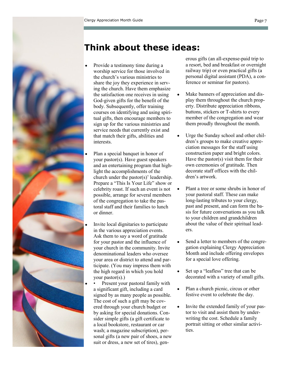

# **Think about these ideas:**

- Provide a testimony time during a worship service for those involved in the church's various ministries to share the joy they experience in serving the church. Have them emphasize the satisfaction one receives in using God-given gifts for the benefit of the body. Subsequently, offer training courses on identifying and using spiritual gifts, then encourage members to sign up for the various ministries and service needs that currently exist and that match their gifts, abilities and interests.
- Plan a special banquet in honor of your pastor(s). Have guest speakers and an entertaining program that highlight the accomplishments of the church under the pastor(s)' leadership. Prepare a "This Is Your Life" show or celebrity roast. If such an event is not possible, arrange for several members of the congregation to take the pastoral staff and their families to lunch or dinner.
- Invite local dignitaries to participate in the various appreciation events. Ask them to say a word of gratitude for your pastor and the influence of your church in the community. Invite denominational leaders who oversee your area or district to attend and participate. (You may impress them with the high regard in which you hold your pastor(s).)

• Present your pastoral family with a significant gift, including a card signed by as many people as possible. The cost of such a gift may be covered through your church budget or by asking for special donations. Consider simple gifts (a gift certificate to a local bookstore, restaurant or car wash; a magazine subscription), personal gifts (a new pair of shoes, a new suit or dress, a new set of tires), gen-

erous gifts (an all-expense-paid trip to a resort, bed and breakfast or overnight railway trip) or even practical gifts (a personal digital assistant (PDA), a conference or seminar for pastors).

- Make banners of appreciation and display them throughout the church property. Distribute appreciation ribbons, buttons, stickers or T-shirts to every member of the congregation and wear them proudly throughout the month.
- Urge the Sunday school and other children's groups to make creative appreciation messages for the staff using construction paper and bright colors. Have the pastor(s) visit them for their own ceremonies of gratitude. Then decorate staff offices with the children's artwork.
- Plant a tree or some shrubs in honor of your pastoral staff. These can make long-lasting tributes to your clergy, past and present, and can form the basis for future conversations as you talk to your children and grandchildren about the value of their spiritual leaders.
- Send a letter to members of the congregation explaining Clergy Appreciation Month and include offering envelopes for a special love offering.
- Set up a "leafless" tree that can be decorated with a variety of small gifts.
- Plan a church picnic, circus or other festive event to celebrate the day.
- Invite the extended family of your pastor to visit and assist them by underwriting the cost. Schedule a family portrait sitting or other similar activities.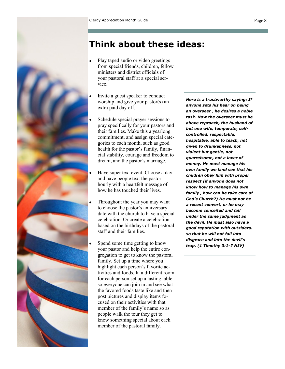

# **Think about these ideas:**

- Play taped audio or video greetings from special friends, children, fellow ministers and district officials of your pastoral staff at a special service.
- Invite a guest speaker to conduct worship and give your pastor(s) an extra paid day off.
- Schedule special prayer sessions to pray specifically for your pastors and their families. Make this a yearlong commitment, and assign special categories to each month, such as good health for the pastor's family, financial stability, courage and freedom to dream, and the pastor's marriage.
- Have super text event. Choose a day and have people text the pastor hourly with a heartfelt message of how he has touched their lives.
- Throughout the year you may want to choose the pastor's anniversary date with the church to have a special celebration. Or create a celebration based on the birthdays of the pastoral staff and their families.
- Spend some time getting to know your pastor and help the entire congregation to get to know the pastoral family. Set up a time where you highlight each person's favorite activities and foods. In a different room for each person set up a tasting table so everyone can join in and see what the favored foods taste like and then post pictures and display items focused on their activities with that member of the family's name so as people walk the tour they get to know something special about each member of the pastoral family.

*Here is a trustworthy saying: If anyone sets his hear on being an overseer , he desires a noble task. Now the overseer must be above reproach, the husband of but one wife, temperate, selfcontrolled, respectable, hospitable, able to teach, not given to drunkenness, not violent but gentle, not quarrelsome, not a lover of money. He must manage his own family we land see that his children obey him with proper respect (if anyone does not know how to manage his own family , how can he take care of God's Church?) He must not be a recent convert, or he may become conceited and fall under the same judgment as the devil. He must also have a good reputation with outsiders, so that he will not fall into disgrace and into the devil's trap. (1 Timothy 3:1-7 NIV)*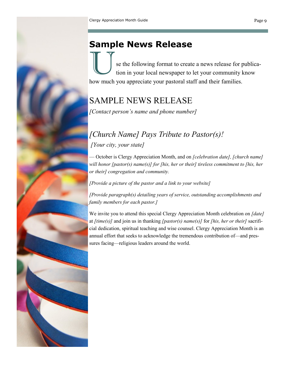# **Sample News Release**

se the following format to create a news release for publication in your local newspaper to let your community know how much you appreciate your pastoral staff and their families.

# SAMPLE NEWS RELEASE

*[Contact person's name and phone number]* 

# *[Church Name] Pays Tribute to Pastor(s)! [Your city, your state]*

— October is Clergy Appreciation Month, and on *[celebration date], [church name] will honor [pastor(s) name(s)] for [his, her or their] tireless commitment to [his, her or their] congregation and community.* 

*[Provide a picture of the pastor and a link to your website]*

*[Provide paragraph(s) detailing years of service, outstanding accomplishments and family members for each pastor.]* 

We invite you to attend this special Clergy Appreciation Month celebration on *[date]*  at *[time(s)]* and join us in thanking *[pastor(s) name(s)]* for *[his, her or their]* sacrificial dedication, spiritual teaching and wise counsel. Clergy Appreciation Month is an annual effort that seeks to acknowledge the tremendous contribution of—and pressures facing—religious leaders around the world.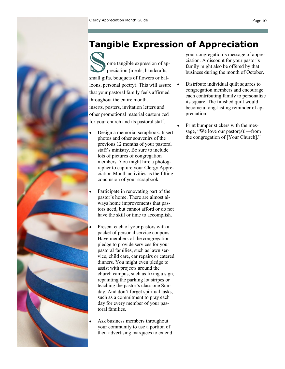# **Tangible Expression of Appreciation**

Tangible Express<br>
Some tangible expression of appreciation (meals, handcrafts, small gifts, bouquets of flowers or balpreciation (meals, handcrafts, small gifts, bouquets of flowers or balloons, personal poetry). This will assure that your pastoral family feels affirmed throughout the entire month. inserts, posters, invitation letters and other promotional material customized for your church and its pastoral staff.

- Design a memorial scrapbook. Insert photos and other souvenirs of the previous 12 months of your pastoral staff's ministry. Be sure to include lots of pictures of congregation members. You might hire a photographer to capture your Clergy Appreciation Month activities as the fitting conclusion of your scrapbook.
- Participate in renovating part of the pastor's home. There are almost always home improvements that pastors need, but cannot afford or do not have the skill or time to accomplish.
- Present each of your pastors with a packet of personal service coupons. Have members of the congregation pledge to provide services for your pastoral families, such as lawn service, child care, car repairs or catered dinners. You might even pledge to assist with projects around the church campus, such as fixing a sign, repainting the parking lot stripes or teaching the pastor's class one Sunday. And don't forget spiritual tasks, such as a commitment to pray each day for every member of your pastoral families.
- Ask business members throughout your community to use a portion of their advertising marquees to extend

your congregation's message of appreciation. A discount for your pastor's family might also be offered by that business during the month of October.

- Distribute individual quilt squares to congregation members and encourage each contributing family to personalize its square. The finished quilt would become a long-lasting reminder of appreciation.
- Print bumper stickers with the message, "We love our pastor(s)!—from the congregation of [Your Church]."

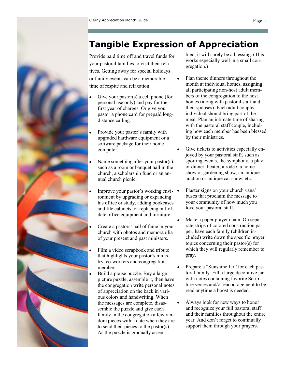# **Tangible Expression of Appreciation**

Provide paid time off and travel funds for your pastoral families to visit their relatives. Getting away for special holidays or family events can be a memorable time of respite and relaxation.

- Give your pastor(s) a cell phone (for personal use only) and pay for the first year of charges. Or give your pastor a phone card for prepaid longdistance calling.
- Provide your pastor's family with upgraded hardware equipment or a software package for their home computer.
- Name something after your pastor(s), such as a room or banquet hall in the church, a scholarship fund or an annual church picnic.
- Improve your pastor's working environment by upgrading or expanding his office or study, adding bookcases and file cabinets, or replacing out-ofdate office equipment and furniture.
- Create a pastors' hall of fame in your church with photos and memorabilia of your present and past ministers.
- Film a video scrapbook and tribute that highlights your pastor's ministry, co-workers and congregation members.
- Build a praise puzzle. Buy a large picture puzzle, assemble it, then have the congregation write personal notes of appreciation on the back in various colors and handwriting. When the messages are complete, disassemble the puzzle and give each family in the congregation a few random pieces with a date when they are to send their pieces to the pastor(s). As the puzzle is gradually assem-

bled, it will surely be a blessing. (This works especially well in a small congregation.)

- Plan theme dinners throughout the month at individual homes, assigning all participating non-host adult members of the congregation to the host homes (along with pastoral staff and their spouses). Each adult couple/ individual should bring part of the meal. Plan an intimate time of sharing with the pastoral staff couple, including how each member has been blessed by their ministries.
- Give tickets to activities especially enjoyed by your pastoral staff, such as sporting events, the symphony, a play or dinner theater, a rodeo, a home show or gardening show, an antique auction or antique car show, etc.
- Plaster signs on your church vans/ buses that proclaim the message to your community of how much you love your pastoral staff.
- Make a paper prayer chain. On separate strips of colored construction paper, have each family (children included) write down the specific prayer topics concerning their pastor(s) for which they will regularly remember to pray.
- Prepare a "Sunshine Jar" for each pastoral family. Fill a large decorative jar with notes containing favorite Scripture verses and/or encouragement to be read anytime a boost is needed.
- Always look for new ways to honor and recognize your full pastoral staff and their families throughout the entire year. And don't forget to continually support them through your prayers.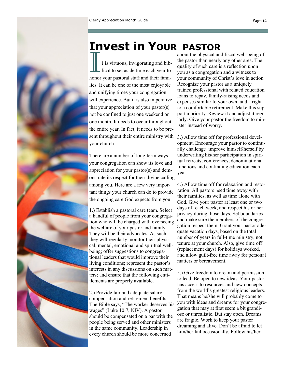

# **Invest in YOUR PASTOR**

I t is virtuous, invigorating and biblical to set aside time each year to honor your pastoral staff and their families. It can be one of the most enjoyable and unifying times your congregation will experience. But it is also imperative that your appreciation of your pastor(s) not be confined to just one weekend or one month. It needs to occur throughout the entire year. In fact, it needs to be present throughout their entire ministry with your church.

There are a number of long-term ways your congregation can show its love and appreciation for your pastor(s) and demonstrate its respect for their divine calling among you. Here are a few very important things your church can do to provide the ongoing care God expects from you:

1.) Establish a pastoral care team. Select a handful of people from your congregation who will be charged with overseeing the welfare of your pastor and family. They will be their advocates. As such, they will regularly monitor their physical, mental, emotional and spiritual wellbeing; offer suggestions to congregational leaders that would improve their living conditions; represent the pastor's interests in any discussions on such matters; and ensure that the following entitlements are properly available.

2.) Provide fair and adequate salary, compensation and retirement benefits. The Bible says, "The worker deserves his wages" (Luke 10:7, NIV). A pastor should be compensated on a par with the people being served and other ministers in the same community. Leadership in every church should be more concerned

about the physical and fiscal well-being of the pastor than nearly any other area. The quality of such care is a reflection upon you as a congregation and a witness to your community of Christ's love in action. Recognize your pastor as a uniquely trained professional with related education loans to repay, family-raising needs and expenses similar to your own, and a right to a comfortable retirement. Make this support a priority. Review it and adjust it regularly. Give your pastor the freedom to minister instead of worry.

3.) Allow time off for professional development. Encourage your pastor to continually challenge improve himself/herself by underwriting his/her participation in spiritual retreats, conferences, denominational functions and continuing education each year.

4.) Allow time off for relaxation and restoration. All pastors need time away with their families, as well as time alone with God. Give your pastor at least one or two days off each week, and respect his or her privacy during those days. Set boundaries and make sure the members of the congregation respect them. Grant your pastor adequate vacation days, based on the total number of years in full-time ministry, not tenure at your church. Also, give time off (replacement days) for holidays worked, and allow guilt-free time away for personal matters or bereavement.

5.) Give freedom to dream and permission to lead. Be open to new ideas. Your pastor has access to resources and new concepts from the world's greatest religious leaders. That means he/she will probably come to you with ideas and dreams for your congregation that may at first seem a bit grandiose or unrealistic. But stay open. Dreams are fragile. Work to keep your pastor dreaming and alive. Don't be afraid to let him/her fail occasionally. Follow his/her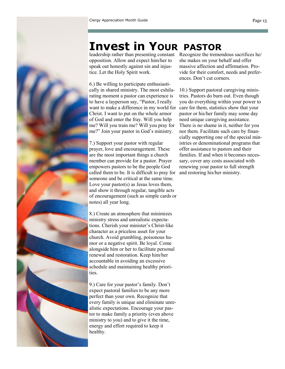

# **Invest in YOUR PASTOR**

leadership rather than presenting constant Recognize the tremendous sacrifices he/ opposition. Allow and expect him/her to speak out honestly against sin and injustice. Let the Holy Spirit work.

6.) Be willing to participate enthusiastically in shared ministry. The most exhilarating moment a pastor can experience is to have a layperson say, "Pastor, I really want to make a difference in my world for Christ. I want to put on the whole armor of God and enter the fray. Will you help me? Will you train me? Will you pray for me?" Join your pastor in God's ministry.

7.) Support your pastor with regular prayer, love and encouragement. These are the most important things a church member can provide for a pastor. Prayer empowers pastors to be the people God called them to be. It is difficult to pray for someone and be critical at the same time. Love your pastor(s) as Jesus loves them, and show it through regular, tangible acts of encouragement (such as simple cards or notes) all year long.

8.) Create an atmosphere that minimizes ministry stress and unrealistic expectations. Cherish your minister's Christ-like character as a priceless asset for your church. Avoid grumbling, poisonous humor or a negative spirit. Be loyal. Come alongside him or her to facilitate personal renewal and restoration. Keep him/her accountable in avoiding an excessive schedule and maintaining healthy priorities.

9.) Care for your pastor's family. Don't expect pastoral families to be any more perfect than your own. Recognize that every family is unique and eliminate unrealistic expectations. Encourage your pastor to make family a priority (even above ministry to you) and to give it the time, energy and effort required to keep it healthy.

she makes on your behalf and offer massive affection and affirmation. Provide for their comfort, needs and preferences. Don't cut corners.

10.) Support pastoral caregiving ministries. Pastors do burn out. Even though you do everything within your power to care for them, statistics show that your pastor or his/her family may some day need unique caregiving assistance. There is no shame in it, neither for you nor them. Facilitate such care by financially supporting one of the special ministries or denominational programs that offer assistance to pastors and their families. If and when it becomes necessary, cover any costs associated with renewing your pastor to full strength and restoring his/her ministry.